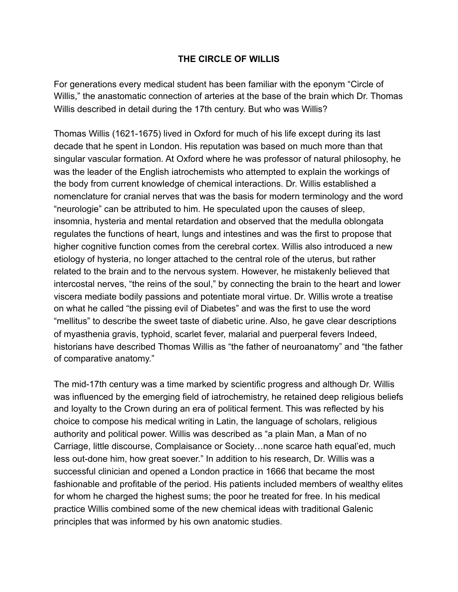## **THE CIRCLE OF WILLIS**

For generations every medical student has been familiar with the eponym "Circle of Willis," the anastomatic connection of arteries at the base of the brain which Dr. Thomas Willis described in detail during the 17th century. But who was Willis?

Thomas Willis (1621-1675) lived in Oxford for much of his life except during its last decade that he spent in London. His reputation was based on much more than that singular vascular formation. At Oxford where he was professor of natural philosophy, he was the leader of the English iatrochemists who attempted to explain the workings of the body from current knowledge of chemical interactions. Dr. Willis established a nomenclature for cranial nerves that was the basis for modern terminology and the word "neurologie" can be attributed to him. He speculated upon the causes of sleep, insomnia, hysteria and mental retardation and observed that the medulla oblongata regulates the functions of heart, lungs and intestines and was the first to propose that higher cognitive function comes from the cerebral cortex. Willis also introduced a new etiology of hysteria, no longer attached to the central role of the uterus, but rather related to the brain and to the nervous system. However, he mistakenly believed that intercostal nerves, "the reins of the soul," by connecting the brain to the heart and lower viscera mediate bodily passions and potentiate moral virtue. Dr. Willis wrote a treatise on what he called "the pissing evil of Diabetes" and was the first to use the word "mellitus" to describe the sweet taste of diabetic urine. Also, he gave clear descriptions of myasthenia gravis, typhoid, scarlet fever, malarial and puerperal fevers Indeed, historians have described Thomas Willis as "the father of neuroanatomy" and "the father of comparative anatomy."

The mid-17th century was a time marked by scientific progress and although Dr. Willis was influenced by the emerging field of iatrochemistry, he retained deep religious beliefs and loyalty to the Crown during an era of political ferment. This was reflected by his choice to compose his medical writing in Latin, the language of scholars, religious authority and political power. Willis was described as "a plain Man, a Man of no Carriage, little discourse, Complaisance or Society…none scarce hath equal'ed, much less out-done him, how great soever." In addition to his research, Dr. Willis was a successful clinician and opened a London practice in 1666 that became the most fashionable and profitable of the period. His patients included members of wealthy elites for whom he charged the highest sums; the poor he treated for free. In his medical practice Willis combined some of the new chemical ideas with traditional Galenic principles that was informed by his own anatomic studies.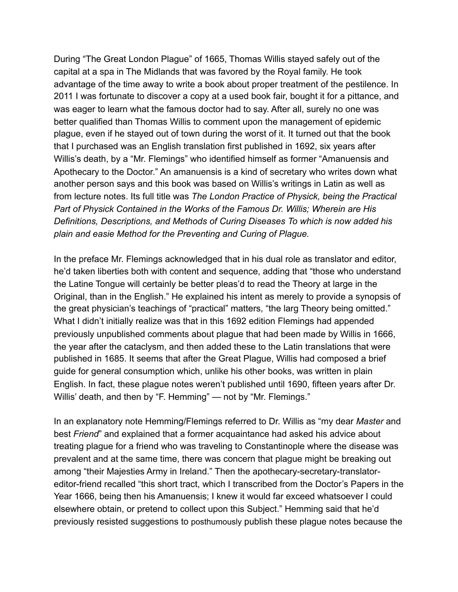During "The Great London Plague" of 1665, Thomas Willis stayed safely out of the capital at a spa in The Midlands that was favored by the Royal family. He took advantage of the time away to write a book about proper treatment of the pestilence. In 2011 I was fortunate to discover a copy at a used book fair, bought it for a pittance, and was eager to learn what the famous doctor had to say. After all, surely no one was better qualified than Thomas Willis to comment upon the management of epidemic plague, even if he stayed out of town during the worst of it. It turned out that the book that I purchased was an English translation first published in 1692, six years after Willis's death, by a "Mr. Flemings" who identified himself as former "Amanuensis and Apothecary to the Doctor." An amanuensis is a kind of secretary who writes down what another person says and this book was based on Willis's writings in Latin as well as from lecture notes. Its full title was *The London Practice of Physick, being the Practical Part of Physick Contained in the Works of the Famous Dr. Willis; Wherein are His Definitions, Descriptions, and Methods of Curing Diseases To which is now added his plain and easie Method for the Preventing and Curing of Plague.*

In the preface Mr. Flemings acknowledged that in his dual role as translator and editor, he'd taken liberties both with content and sequence, adding that "those who understand the Latine Tongue will certainly be better pleas'd to read the Theory at large in the Original, than in the English." He explained his intent as merely to provide a synopsis of the great physician's teachings of "practical" matters, "the larg Theory being omitted." What I didn't initially realize was that in this 1692 edition Flemings had appended previously unpublished comments about plague that had been made by Willis in 1666, the year after the cataclysm, and then added these to the Latin translations that were published in 1685. It seems that after the Great Plague, Willis had composed a brief guide for general consumption which, unlike his other books, was written in plain English. In fact, these plague notes weren't published until 1690, fifteen years after Dr. Willis' death, and then by "F. Hemming" — not by "Mr. Flemings."

In an explanatory note Hemming/Flemings referred to Dr. Willis as "my dear *Master* and best *Friend*" and explained that a former acquaintance had asked his advice about treating plague for a friend who was traveling to Constantinople where the disease was prevalent and at the same time, there was concern that plague might be breaking out among "their Majesties Army in Ireland." Then the apothecary-secretary-translatoreditor-friend recalled "this short tract, which I transcribed from the Doctor's Papers in the Year 1666, being then his Amanuensis; I knew it would far exceed whatsoever I could elsewhere obtain, or pretend to collect upon this Subject." Hemming said that he'd previously resisted suggestions to posthumously publish these plague notes because the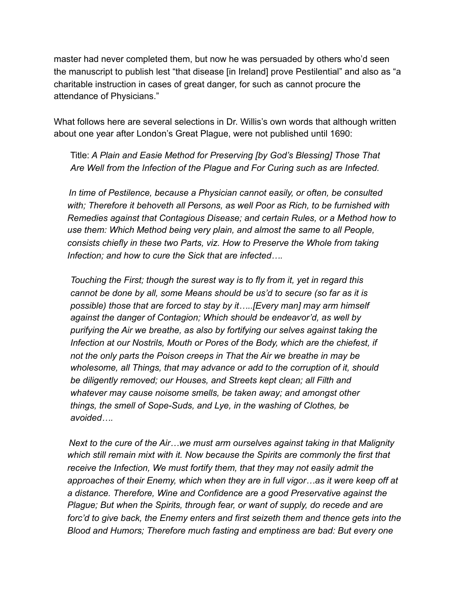master had never completed them, but now he was persuaded by others who'd seen the manuscript to publish lest "that disease [in Ireland] prove Pestilential" and also as "a charitable instruction in cases of great danger, for such as cannot procure the attendance of Physicians."

What follows here are several selections in Dr. Willis's own words that although written about one year after London's Great Plague, were not published until 1690:

Title: *A Plain and Easie Method for Preserving [by God's Blessing] Those That Are Well from the Infection of the Plague and For Curing such as are Infected.*

 *In time of Pestilence, because a Physician cannot easily, or often, be consulted with; Therefore it behoveth all Persons, as well Poor as Rich, to be furnished with Remedies against that Contagious Disease; and certain Rules, or a Method how to use them: Which Method being very plain, and almost the same to all People, consists chiefly in these two Parts, viz. How to Preserve the Whole from taking Infection; and how to cure the Sick that are infected….* 

*Touching the First; though the surest way is to fly from it, yet in regard this cannot be done by all, some Means should be us'd to secure (so far as it is possible) those that are forced to stay by it…..[Every man] may arm himself against the danger of Contagion; Which should be endeavor'd, as well by purifying the Air we breathe, as also by fortifying our selves against taking the Infection at our Nostrils, Mouth or Pores of the Body, which are the chiefest, if not the only parts the Poison creeps in That the Air we breathe in may be wholesome, all Things, that may advance or add to the corruption of it, should be diligently removed; our Houses, and Streets kept clean; all Filth and whatever may cause noisome smells, be taken away; and amongst other things, the smell of Sope-Suds, and Lye, in the washing of Clothes, be avoided….* 

 *Next to the cure of the Air…we must arm ourselves against taking in that Malignity which still remain mixt with it. Now because the Spirits are commonly the first that receive the Infection, We must fortify them, that they may not easily admit the approaches of their Enemy, which when they are in full vigor…as it were keep off at a distance. Therefore, Wine and Confidence are a good Preservative against the Plague; But when the Spirits, through fear, or want of supply, do recede and are*  forc'd to give back, the Enemy enters and first seizeth them and thence gets into the *Blood and Humors; Therefore much fasting and emptiness are bad: But every one*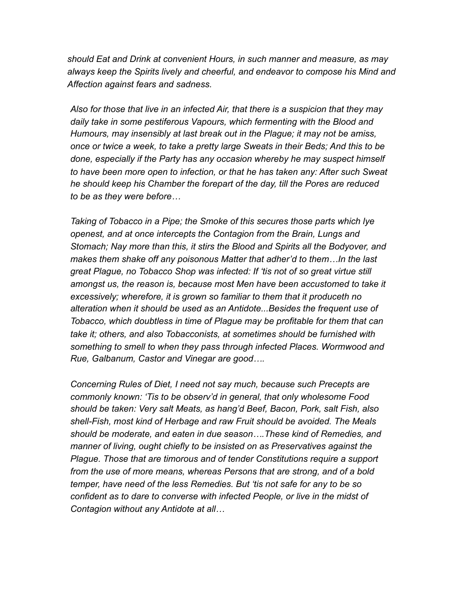*should Eat and Drink at convenient Hours, in such manner and measure, as may always keep the Spirits lively and cheerful, and endeavor to compose his Mind and Affection against fears and sadness.* 

*Also for those that live in an infected Air, that there is a suspicion that they may daily take in some pestiferous Vapours, which fermenting with the Blood and Humours, may insensibly at last break out in the Plague; it may not be amiss, once or twice a week, to take a pretty large Sweats in their Beds; And this to be done, especially if the Party has any occasion whereby he may suspect himself to have been more open to infection, or that he has taken any: After such Sweat he should keep his Chamber the forepart of the day, till the Pores are reduced to be as they were before…*

*Taking of Tobacco in a Pipe; the Smoke of this secures those parts which lye openest, and at once intercepts the Contagion from the Brain, Lungs and Stomach; Nay more than this, it stirs the Blood and Spirits all the Bodyover, and makes them shake off any poisonous Matter that adher'd to them…In the last great Plague, no Tobacco Shop was infected: If 'tis not of so great virtue still*  amongst us, the reason is, because most Men have been accustomed to take it *excessively; wherefore, it is grown so familiar to them that it produceth no alteration when it should be used as an Antidote...Besides the frequent use of Tobacco, which doubtless in time of Plague may be profitable for them that can take it; others, and also Tobacconists, at sometimes should be furnished with something to smell to when they pass through infected Places. Wormwood and Rue, Galbanum, Castor and Vinegar are good….* 

*Concerning Rules of Diet, I need not say much, because such Precepts are commonly known: 'Tis to be observ'd in general, that only wholesome Food should be taken: Very salt Meats, as hang'd Beef, Bacon, Pork, salt Fish, also shell-Fish, most kind of Herbage and raw Fruit should be avoided. The Meals should be moderate, and eaten in due season….These kind of Remedies, and manner of living, ought chiefly to be insisted on as Preservatives against the Plague. Those that are timorous and of tender Constitutions require a support from the use of more means, whereas Persons that are strong, and of a bold temper, have need of the less Remedies. But 'tis not safe for any to be so confident as to dare to converse with infected People, or live in the midst of Contagion without any Antidote at all…*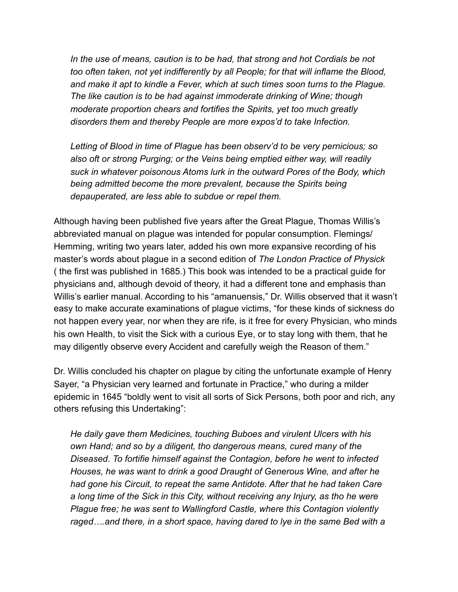In the use of means, caution is to be had, that strong and hot Cordials be not *too often taken, not yet indifferently by all People; for that will inflame the Blood, and make it apt to kindle a Fever, which at such times soon turns to the Plague. The like caution is to be had against immoderate drinking of Wine; though moderate proportion chears and fortifies the Spirits, yet too much greatly disorders them and thereby People are more expos'd to take Infection.*

*Letting of Blood in time of Plague has been observ'd to be very pernicious; so also oft or strong Purging; or the Veins being emptied either way, will readily suck in whatever poisonous Atoms lurk in the outward Pores of the Body, which being admitted become the more prevalent, because the Spirits being depauperated, are less able to subdue or repel them.* 

Although having been published five years after the Great Plague, Thomas Willis's abbreviated manual on plague was intended for popular consumption. Flemings/ Hemming, writing two years later, added his own more expansive recording of his master's words about plague in a second edition of *The London Practice of Physick* ( the first was published in 1685.) This book was intended to be a practical guide for physicians and, although devoid of theory, it had a different tone and emphasis than Willis's earlier manual. According to his "amanuensis," Dr. Willis observed that it wasn't easy to make accurate examinations of plague victims, "for these kinds of sickness do not happen every year, nor when they are rife, is it free for every Physician, who minds his own Health, to visit the Sick with a curious Eye, or to stay long with them, that he may diligently observe every Accident and carefully weigh the Reason of them."

Dr. Willis concluded his chapter on plague by citing the unfortunate example of Henry Sayer, "a Physician very learned and fortunate in Practice," who during a milder epidemic in 1645 "boldly went to visit all sorts of Sick Persons, both poor and rich, any others refusing this Undertaking":

*He daily gave them Medicines, touching Buboes and virulent Ulcers with his own Hand; and so by a diligent, tho dangerous means, cured many of the Diseased. To fortifie himself against the Contagion, before he went to infected Houses, he was want to drink a good Draught of Generous Wine, and after he had gone his Circuit, to repeat the same Antidote. After that he had taken Care a long time of the Sick in this City, without receiving any Injury, as tho he were Plague free; he was sent to Wallingford Castle, where this Contagion violently raged….and there, in a short space, having dared to lye in the same Bed with a*